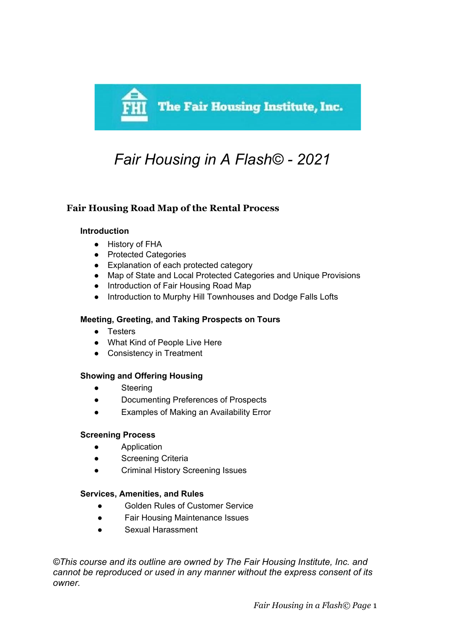

# *Fair Housing in A Flash© - 2021*

## **Fair Housing Road Map of the Rental Process**

#### **Introduction**

- History of FHA
- Protected Categories
- Explanation of each protected category
- Map of State and Local Protected Categories and Unique Provisions
- Introduction of Fair Housing Road Map
- Introduction to Murphy Hill Townhouses and Dodge Falls Lofts

## **Meeting, Greeting, and Taking Prospects on Tours**

- Testers
- What Kind of People Live Here
- Consistency in Treatment

## **Showing and Offering Housing**

- Steering
- Documenting Preferences of Prospects
- Examples of Making an Availability Error

## **Screening Process**

- Application
- **•** Screening Criteria
- Criminal History Screening Issues

## **Services, Amenities, and Rules**

- Golden Rules of Customer Service
- Fair Housing Maintenance Issues
- Sexual Harassment

*©This course and its outline are owned by The Fair Housing Institute, Inc. and cannot be reproduced or used in any manner without the express consent of its owner.*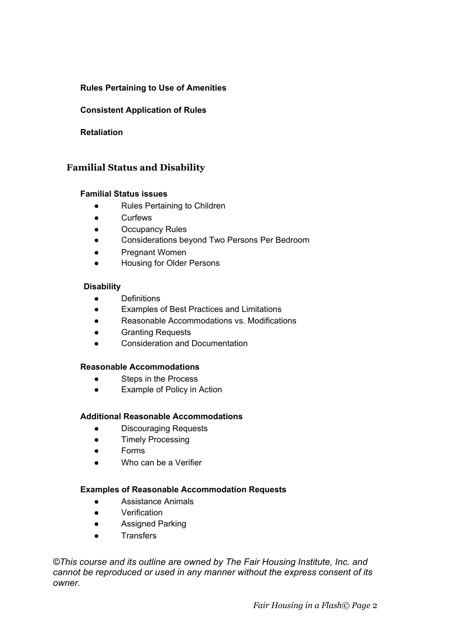## **Rules Pertaining to Use of Amenities**

### **Consistent Application of Rules**

#### **Retaliation**

## **Familial Status and Disability**

#### **Familial Status issues**

- Rules Pertaining to Children
- Curfews
- Occupancy Rules
- Considerations beyond Two Persons Per Bedroom
- Pregnant Women
- **Housing for Older Persons**

#### **Disability**

- Definitions
- Examples of Best Practices and Limitations
- Reasonable Accommodations vs. Modifications
- Granting Requests
- Consideration and Documentation

#### **Reasonable Accommodations**

- Steps in the Process
- Example of Policy in Action

#### **Additional Reasonable Accommodations**

- Discouraging Requests
- Timely Processing
- Forms
- Who can be a Verifier

#### **Examples of Reasonable Accommodation Requests**

- Assistance Animals
- Verification
- Assigned Parking
- Transfers

*©This course and its outline are owned by The Fair Housing Institute, Inc. and cannot be reproduced or used in any manner without the express consent of its owner.*